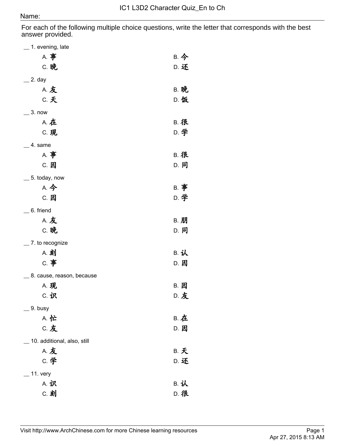## Name:

For each of the following multiple choice questions, write the letter that corresponds with the best answer provided.

| 1. evening, late            |             |
|-----------------------------|-------------|
| A. 事                        | B. 今        |
| C. 晚                        | D. 还        |
| _ 2. day                    |             |
| <b>A.友</b>                  | <b>B. 晚</b> |
| C. 天                        | <b>D. 饭</b> |
| 3. now                      |             |
| <b>A. 在</b>                 | <b>B. 很</b> |
| C. 现                        | D. 学        |
| 4. same                     |             |
| A. 事                        | <b>B. 很</b> |
| C. 因                        | D. 同        |
| 5. today, now               |             |
| A. 今                        | <b>B.</b> 事 |
| C. 因                        | D. 学        |
| $=$ 6. friend               |             |
| <b>A.友</b>                  | <b>B. 朋</b> |
| C. 晚                        | D. 同        |
| 7. to recognize             |             |
| A. 刻                        | B. 认        |
| C. 事                        | D. 因        |
| 8. cause, reason, because   |             |
| <b>A. 现</b>                 | B. 因        |
| C. 识                        | <b>D. 友</b> |
| 9. busy                     |             |
| A. 忙                        | <b>B. 在</b> |
| C. 友                        | D. 因        |
| 10. additional, also, still |             |
| <b>A.友</b>                  | <b>B. 天</b> |
| <b>C. 学</b>                 | D. 还        |
| 11. very                    |             |
| A. 识                        | B. 认        |
| C. 刻                        | <b>D. 很</b> |